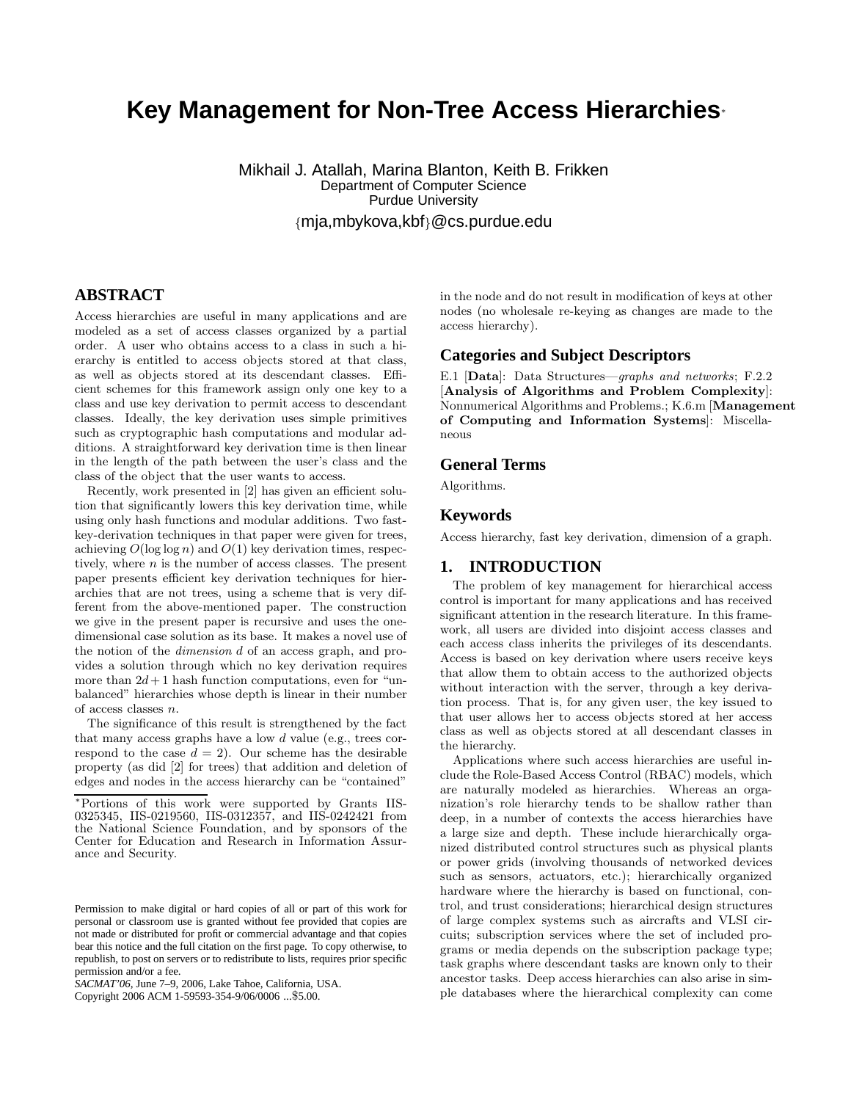# **Key Management for Non-Tree Access Hierarchies**<sup>∗</sup>

Mikhail J. Atallah, Marina Blanton, Keith B. Frikken Department of Computer Science Purdue University {mja,mbykova,kbf}@cs.purdue.edu

# **ABSTRACT**

Access hierarchies are useful in many applications and are modeled as a set of access classes organized by a partial order. A user who obtains access to a class in such a hierarchy is entitled to access objects stored at that class, as well as objects stored at its descendant classes. Efficient schemes for this framework assign only one key to a class and use key derivation to permit access to descendant classes. Ideally, the key derivation uses simple primitives such as cryptographic hash computations and modular additions. A straightforward key derivation time is then linear in the length of the path between the user's class and the class of the object that the user wants to access.

Recently, work presented in [2] has given an efficient solution that significantly lowers this key derivation time, while using only hash functions and modular additions. Two fastkey-derivation techniques in that paper were given for trees, achieving  $O(\log \log n)$  and  $O(1)$  key derivation times, respectively, where  $n$  is the number of access classes. The present paper presents efficient key derivation techniques for hierarchies that are not trees, using a scheme that is very different from the above-mentioned paper. The construction we give in the present paper is recursive and uses the onedimensional case solution as its base. It makes a novel use of the notion of the dimension d of an access graph, and provides a solution through which no key derivation requires more than  $2d+1$  hash function computations, even for "unbalanced" hierarchies whose depth is linear in their number of access classes n.

The significance of this result is strengthened by the fact that many access graphs have a low d value (e.g., trees correspond to the case  $d = 2$ . Our scheme has the desirable property (as did [2] for trees) that addition and deletion of edges and nodes in the access hierarchy can be "contained"

Copyright 2006 ACM 1-59593-354-9/06/0006 ...\$5.00.

in the node and do not result in modification of keys at other nodes (no wholesale re-keying as changes are made to the access hierarchy).

#### **Categories and Subject Descriptors**

E.1 [Data]: Data Structures—graphs and networks; F.2.2 [Analysis of Algorithms and Problem Complexity]: Nonnumerical Algorithms and Problems.; K.6.m [Management of Computing and Information Systems]: Miscellaneous

#### **General Terms**

Algorithms.

#### **Keywords**

Access hierarchy, fast key derivation, dimension of a graph.

## **1. INTRODUCTION**

The problem of key management for hierarchical access control is important for many applications and has received significant attention in the research literature. In this framework, all users are divided into disjoint access classes and each access class inherits the privileges of its descendants. Access is based on key derivation where users receive keys that allow them to obtain access to the authorized objects without interaction with the server, through a key derivation process. That is, for any given user, the key issued to that user allows her to access objects stored at her access class as well as objects stored at all descendant classes in the hierarchy.

Applications where such access hierarchies are useful include the Role-Based Access Control (RBAC) models, which are naturally modeled as hierarchies. Whereas an organization's role hierarchy tends to be shallow rather than deep, in a number of contexts the access hierarchies have a large size and depth. These include hierarchically organized distributed control structures such as physical plants or power grids (involving thousands of networked devices such as sensors, actuators, etc.); hierarchically organized hardware where the hierarchy is based on functional, control, and trust considerations; hierarchical design structures of large complex systems such as aircrafts and VLSI circuits; subscription services where the set of included programs or media depends on the subscription package type; task graphs where descendant tasks are known only to their ancestor tasks. Deep access hierarchies can also arise in simple databases where the hierarchical complexity can come

<sup>∗</sup>Portions of this work were supported by Grants IIS-0325345, IIS-0219560, IIS-0312357, and IIS-0242421 from the National Science Foundation, and by sponsors of the Center for Education and Research in Information Assurance and Security.

Permission to make digital or hard copies of all or part of this work for personal or classroom use is granted without fee provided that copies are not made or distributed for profit or commercial advantage and that copies bear this notice and the full citation on the first page. To copy otherwise, to republish, to post on servers or to redistribute to lists, requires prior specific permission and/or a fee.

*SACMAT'06,* June 7–9, 2006, Lake Tahoe, California, USA.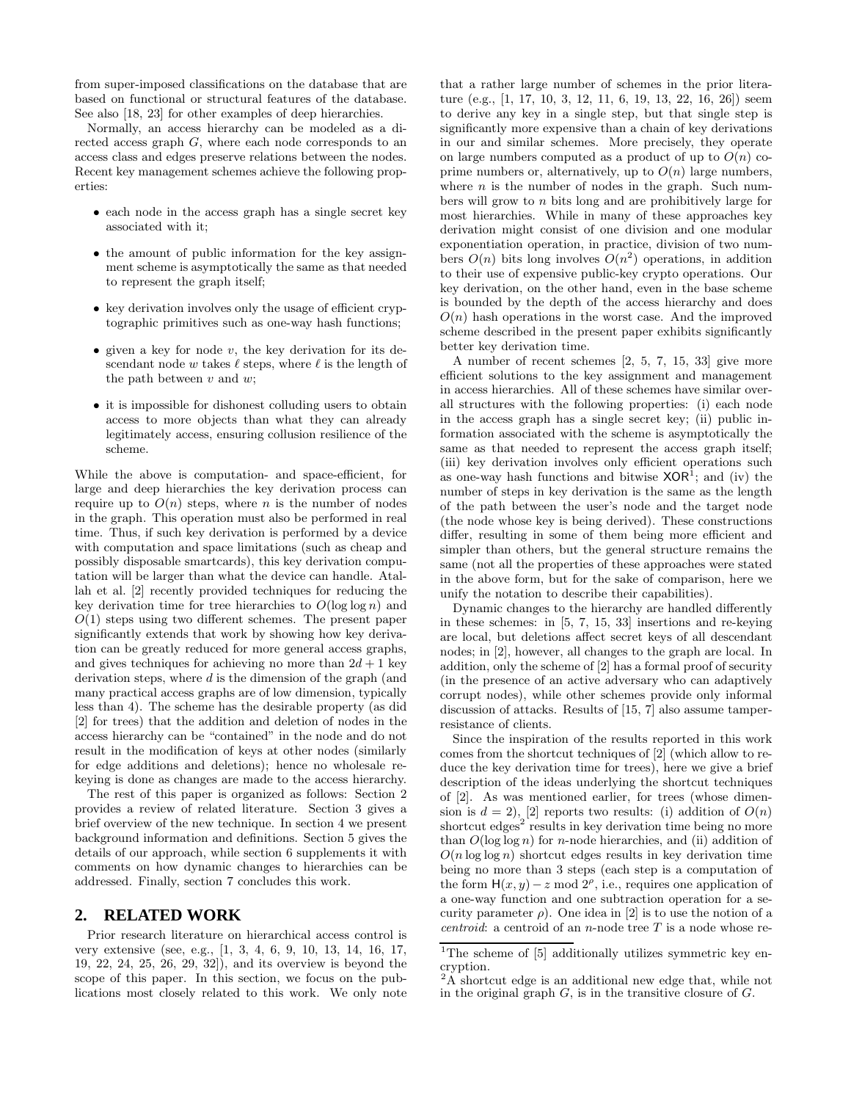from super-imposed classifications on the database that are based on functional or structural features of the database. See also [18, 23] for other examples of deep hierarchies.

Normally, an access hierarchy can be modeled as a directed access graph G, where each node corresponds to an access class and edges preserve relations between the nodes. Recent key management schemes achieve the following properties:

- each node in the access graph has a single secret key associated with it;
- the amount of public information for the key assignment scheme is asymptotically the same as that needed to represent the graph itself;
- key derivation involves only the usage of efficient cryptographic primitives such as one-way hash functions;
- given a key for node  $v$ , the key derivation for its descendant node w takes  $\ell$  steps, where  $\ell$  is the length of the path between  $v$  and  $w$ ;
- it is impossible for dishonest colluding users to obtain access to more objects than what they can already legitimately access, ensuring collusion resilience of the scheme.

While the above is computation- and space-efficient, for large and deep hierarchies the key derivation process can require up to  $O(n)$  steps, where n is the number of nodes in the graph. This operation must also be performed in real time. Thus, if such key derivation is performed by a device with computation and space limitations (such as cheap and possibly disposable smartcards), this key derivation computation will be larger than what the device can handle. Atallah et al. [2] recently provided techniques for reducing the key derivation time for tree hierarchies to  $O(\log \log n)$  and  $O(1)$  steps using two different schemes. The present paper significantly extends that work by showing how key derivation can be greatly reduced for more general access graphs, and gives techniques for achieving no more than  $2d + 1$  key derivation steps, where  $d$  is the dimension of the graph (and many practical access graphs are of low dimension, typically less than 4). The scheme has the desirable property (as did [2] for trees) that the addition and deletion of nodes in the access hierarchy can be "contained" in the node and do not result in the modification of keys at other nodes (similarly for edge additions and deletions); hence no wholesale rekeying is done as changes are made to the access hierarchy.

The rest of this paper is organized as follows: Section 2 provides a review of related literature. Section 3 gives a brief overview of the new technique. In section 4 we present background information and definitions. Section 5 gives the details of our approach, while section 6 supplements it with comments on how dynamic changes to hierarchies can be addressed. Finally, section 7 concludes this work.

#### **2. RELATED WORK**

Prior research literature on hierarchical access control is very extensive (see, e.g., [1, 3, 4, 6, 9, 10, 13, 14, 16, 17, 19, 22, 24, 25, 26, 29, 32]), and its overview is beyond the scope of this paper. In this section, we focus on the publications most closely related to this work. We only note

that a rather large number of schemes in the prior literature (e.g., [1, 17, 10, 3, 12, 11, 6, 19, 13, 22, 16, 26]) seem to derive any key in a single step, but that single step is significantly more expensive than a chain of key derivations in our and similar schemes. More precisely, they operate on large numbers computed as a product of up to  $O(n)$  coprime numbers or, alternatively, up to  $O(n)$  large numbers, where  $n$  is the number of nodes in the graph. Such numbers will grow to  $n$  bits long and are prohibitively large for most hierarchies. While in many of these approaches key derivation might consist of one division and one modular exponentiation operation, in practice, division of two numbers  $O(n)$  bits long involves  $O(n^2)$  operations, in addition to their use of expensive public-key crypto operations. Our key derivation, on the other hand, even in the base scheme is bounded by the depth of the access hierarchy and does  $O(n)$  hash operations in the worst case. And the improved scheme described in the present paper exhibits significantly better key derivation time.

A number of recent schemes [2, 5, 7, 15, 33] give more efficient solutions to the key assignment and management in access hierarchies. All of these schemes have similar overall structures with the following properties: (i) each node in the access graph has a single secret key; (ii) public information associated with the scheme is asymptotically the same as that needed to represent the access graph itself; (iii) key derivation involves only efficient operations such as one-way hash functions and bitwise  $XOR<sup>1</sup>$ ; and (iv) the number of steps in key derivation is the same as the length of the path between the user's node and the target node (the node whose key is being derived). These constructions differ, resulting in some of them being more efficient and simpler than others, but the general structure remains the same (not all the properties of these approaches were stated in the above form, but for the sake of comparison, here we unify the notation to describe their capabilities).

Dynamic changes to the hierarchy are handled differently in these schemes: in [5, 7, 15, 33] insertions and re-keying are local, but deletions affect secret keys of all descendant nodes; in [2], however, all changes to the graph are local. In addition, only the scheme of [2] has a formal proof of security (in the presence of an active adversary who can adaptively corrupt nodes), while other schemes provide only informal discussion of attacks. Results of [15, 7] also assume tamperresistance of clients.

Since the inspiration of the results reported in this work comes from the shortcut techniques of [2] (which allow to reduce the key derivation time for trees), here we give a brief description of the ideas underlying the shortcut techniques of [2]. As was mentioned earlier, for trees (whose dimension is  $d = 2$ , [2] reports two results: (i) addition of  $O(n)$ shortcut edges<sup>2</sup> results in key derivation time being no more than  $O(\log \log n)$  for *n*-node hierarchies, and (ii) addition of  $O(n \log \log n)$  shortcut edges results in key derivation time being no more than 3 steps (each step is a computation of the form  $H(x, y) - z \mod 2^\rho$ , i.e., requires one application of a one-way function and one subtraction operation for a security parameter  $\rho$ ). One idea in [2] is to use the notion of a *centroid*: a centroid of an *n*-node tree  $T$  is a node whose re-

<sup>&</sup>lt;sup>1</sup>The scheme of [5] additionally utilizes symmetric key encryption.

 ${}^{2}\text{A}$  shortcut edge is an additional new edge that, while not in the original graph  $G$ , is in the transitive closure of  $G$ .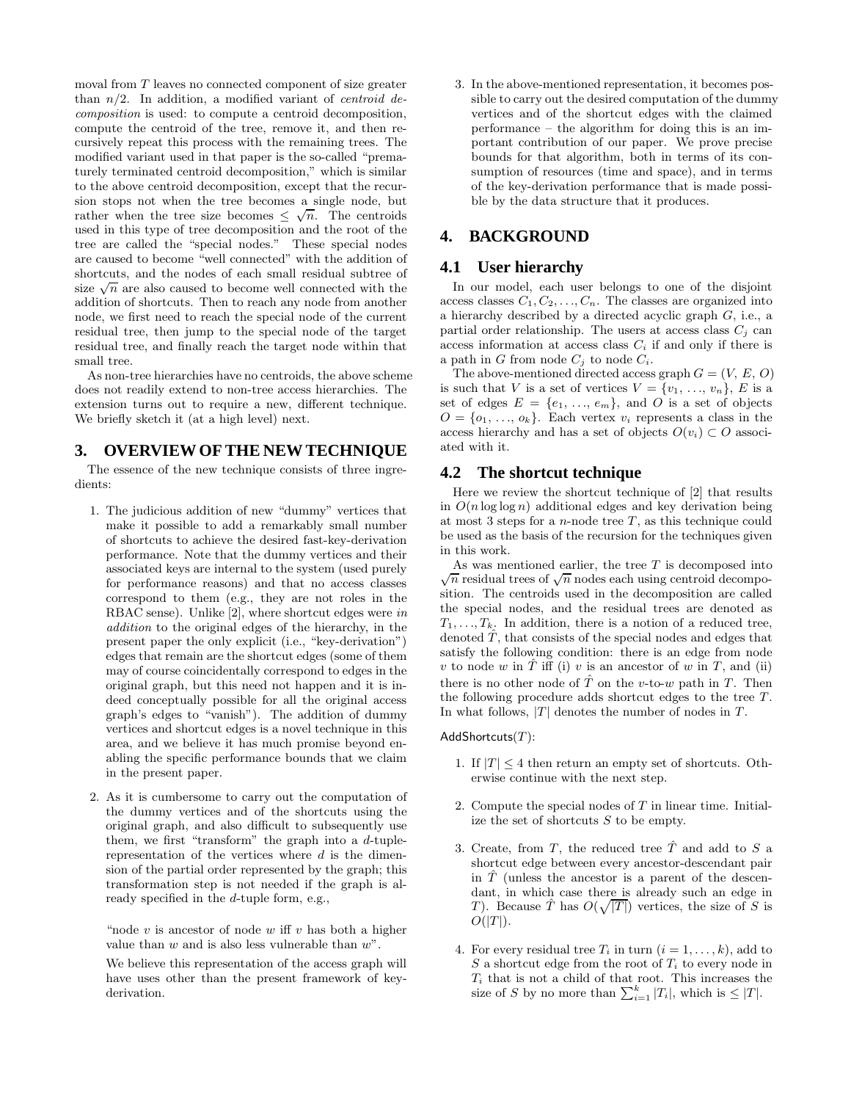moval from T leaves no connected component of size greater than  $n/2$ . In addition, a modified variant of *centroid* decomposition is used: to compute a centroid decomposition, compute the centroid of the tree, remove it, and then recursively repeat this process with the remaining trees. The modified variant used in that paper is the so-called "prematurely terminated centroid decomposition," which is similar to the above centroid decomposition, except that the recursion stops not when the tree becomes a single node, but rather when the tree size becomes  $\leq \sqrt{n}$ . The centroids used in this type of tree decomposition and the root of the tree are called the "special nodes." These special nodes are caused to become "well connected" with the addition of shortcuts, and the nodes of each small residual subtree of size  $\sqrt{n}$  are also caused to become well connected with the addition of shortcuts. Then to reach any node from another node, we first need to reach the special node of the current residual tree, then jump to the special node of the target residual tree, and finally reach the target node within that small tree.

As non-tree hierarchies have no centroids, the above scheme does not readily extend to non-tree access hierarchies. The extension turns out to require a new, different technique. We briefly sketch it (at a high level) next.

# **3. OVERVIEW OF THE NEW TECHNIQUE**

The essence of the new technique consists of three ingredients:

- 1. The judicious addition of new "dummy" vertices that make it possible to add a remarkably small number of shortcuts to achieve the desired fast-key-derivation performance. Note that the dummy vertices and their associated keys are internal to the system (used purely for performance reasons) and that no access classes correspond to them (e.g., they are not roles in the RBAC sense). Unlike [2], where shortcut edges were in addition to the original edges of the hierarchy, in the present paper the only explicit (i.e., "key-derivation") edges that remain are the shortcut edges (some of them may of course coincidentally correspond to edges in the original graph, but this need not happen and it is indeed conceptually possible for all the original access graph's edges to "vanish"). The addition of dummy vertices and shortcut edges is a novel technique in this area, and we believe it has much promise beyond enabling the specific performance bounds that we claim in the present paper.
- 2. As it is cumbersome to carry out the computation of the dummy vertices and of the shortcuts using the original graph, and also difficult to subsequently use them, we first "transform" the graph into a  $d$ -tuplerepresentation of the vertices where  $d$  is the dimension of the partial order represented by the graph; this transformation step is not needed if the graph is already specified in the d-tuple form, e.g.,

"node  $v$  is ancestor of node  $w$  iff  $v$  has both a higher value than  $w$  and is also less vulnerable than  $w$ ".

We believe this representation of the access graph will have uses other than the present framework of keyderivation.

3. In the above-mentioned representation, it becomes possible to carry out the desired computation of the dummy vertices and of the shortcut edges with the claimed performance – the algorithm for doing this is an important contribution of our paper. We prove precise bounds for that algorithm, both in terms of its consumption of resources (time and space), and in terms of the key-derivation performance that is made possible by the data structure that it produces.

# **4. BACKGROUND**

#### **4.1 User hierarchy**

In our model, each user belongs to one of the disjoint access classes  $C_1, C_2, \ldots, C_n$ . The classes are organized into a hierarchy described by a directed acyclic graph G, i.e., a partial order relationship. The users at access class  $C_j$  can access information at access class  $C_i$  if and only if there is a path in G from node  $C_j$  to node  $C_i$ .

The above-mentioned directed access graph  $G = (V, E, O)$ is such that V is a set of vertices  $V = \{v_1, \ldots, v_n\}, E$  is a set of edges  $E = \{e_1, \ldots, e_m\}$ , and O is a set of objects  $O = \{o_1, \ldots, o_k\}$ . Each vertex  $v_i$  represents a class in the access hierarchy and has a set of objects  $O(v_i) \subset O$  associated with it.

#### **4.2 The shortcut technique**

Here we review the shortcut technique of [2] that results in  $O(n \log \log n)$  additional edges and key derivation being at most 3 steps for a *n*-node tree  $T$ , as this technique could be used as the basis of the recursion for the techniques given in this work.

As was mentioned earlier, the tree  $T$  is decomposed into  $\sqrt{n}$  residual trees of  $\sqrt{n}$  nodes each using centroid decomposition. The centroids used in the decomposition are called the special nodes, and the residual trees are denoted as  $T_1, \ldots, T_k$ . In addition, there is a notion of a reduced tree, denoted  $\hat{T}$ , that consists of the special nodes and edges that satisfy the following condition: there is an edge from node v to node w in  $\hat{T}$  iff (i) v is an ancestor of w in T, and (ii) there is no other node of  $\hat{T}$  on the v-to-w path in T. Then the following procedure adds shortcut edges to the tree T. In what follows,  $|T|$  denotes the number of nodes in  $T$ .

#### AddShortcuts $(T)$ :

- 1. If  $|T| \leq 4$  then return an empty set of shortcuts. Otherwise continue with the next step.
- 2. Compute the special nodes of T in linear time. Initialize the set of shortcuts S to be empty.
- 3. Create, from T, the reduced tree  $\hat{T}$  and add to S a shortcut edge between every ancestor-descendant pair in  $\hat{T}$  (unless the ancestor is a parent of the descendant, in which case there is already such an edge in T). Because  $\hat{T}$  has  $O(\sqrt{|T|})$  vertices, the size of S is  $O(|T|)$ .
- 4. For every residual tree  $T_i$  in turn  $(i = 1, \ldots, k)$ , add to S a shortcut edge from the root of  $T_i$  to every node in  $T_i$  that is not a child of that root. This increases the size of S by no more than  $\sum_{i=1}^{k} |T_i|$ , which is  $\leq |T|$ .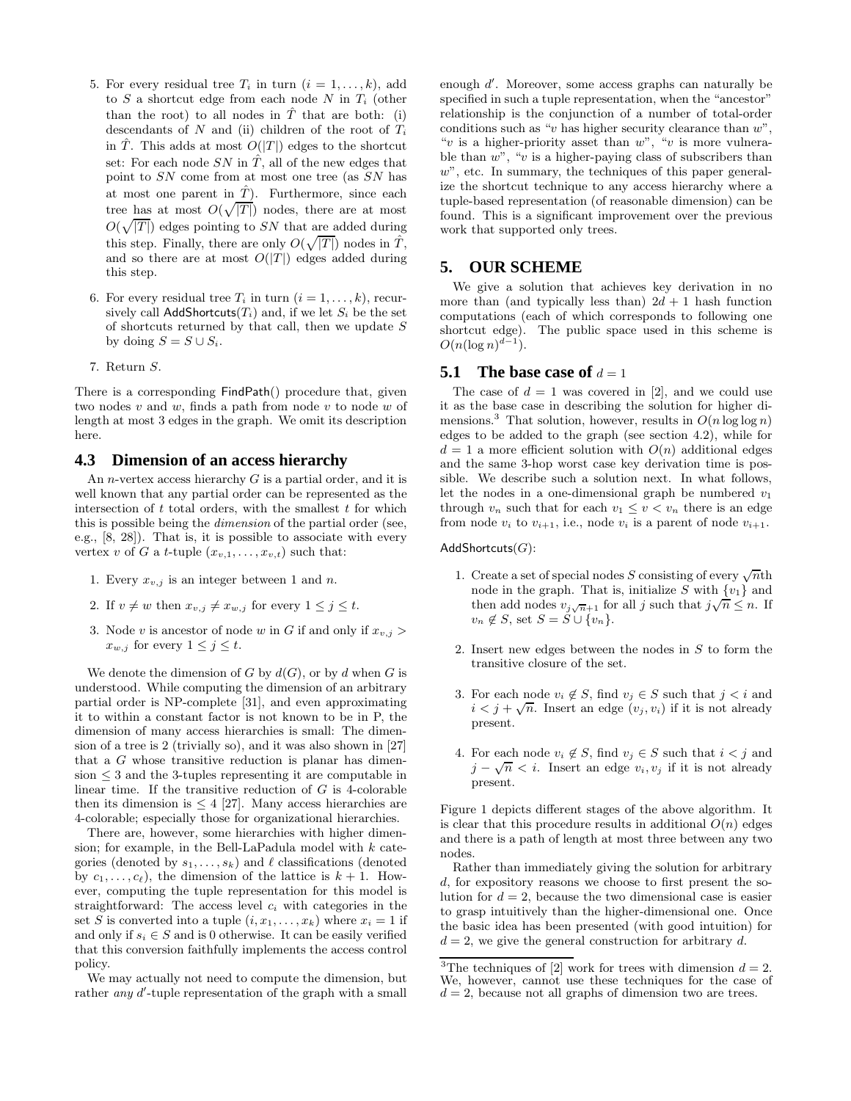- 5. For every residual tree  $T_i$  in turn  $(i = 1, \ldots, k)$ , add to  $S$  a shortcut edge from each node  $N$  in  $T_i$  (other than the root) to all nodes in  $\hat{T}$  that are both: (i) descendants of  $N$  and (ii) children of the root of  $T_i$ in T. This adds at most  $O(|T|)$  edges to the shortcut set: For each node SN in  $\hat{T}$ , all of the new edges that point to SN come from at most one tree (as SN has at most one parent in  $\hat{T}$ ). Furthermore, since each tree has at most  $O(\sqrt{|T|})$  nodes, there are at most  $O(\sqrt{|T|})$  edges pointing to SN that are added during this step. Finally, there are only  $O(\sqrt{|T|})$  nodes in  $\hat{T}$ , and so there are at most  $O(|T|)$  edges added during this step.
- 6. For every residual tree  $T_i$  in turn  $(i = 1, \ldots, k)$ , recursively call AddShortcuts( $T_i$ ) and, if we let  $S_i$  be the set of shortcuts returned by that call, then we update S by doing  $S = S \cup S_i$ .
- 7. Return S.

There is a corresponding FindPath() procedure that, given two nodes  $v$  and  $w$ , finds a path from node  $v$  to node  $w$  of length at most 3 edges in the graph. We omit its description here.

#### **4.3 Dimension of an access hierarchy**

An *n*-vertex access hierarchy  $G$  is a partial order, and it is well known that any partial order can be represented as the intersection of  $t$  total orders, with the smallest  $t$  for which this is possible being the *dimension* of the partial order (see, e.g., [8, 28]). That is, it is possible to associate with every vertex v of G a t-tuple  $(x_{v,1},...,x_{v,t})$  such that:

- 1. Every  $x_{v,j}$  is an integer between 1 and n.
- 2. If  $v \neq w$  then  $x_{v,i} \neq x_{w,i}$  for every  $1 \leq j \leq t$ .
- 3. Node v is ancestor of node w in G if and only if  $x_{v,j}$  $x_{w,j}$  for every  $1 \leq j \leq t$ .

We denote the dimension of G by  $d(G)$ , or by d when G is understood. While computing the dimension of an arbitrary partial order is NP-complete [31], and even approximating it to within a constant factor is not known to be in P, the dimension of many access hierarchies is small: The dimension of a tree is 2 (trivially so), and it was also shown in [27] that a G whose transitive reduction is planar has dimen $sion < 3$  and the 3-tuples representing it are computable in linear time. If the transitive reduction of  $G$  is 4-colorable then its dimension is  $\leq 4$  [27]. Many access hierarchies are 4-colorable; especially those for organizational hierarchies.

There are, however, some hierarchies with higher dimension; for example, in the Bell-LaPadula model with  $k$  categories (denoted by  $s_1, \ldots, s_k$ ) and  $\ell$  classifications (denoted by  $c_1, \ldots, c_\ell$ , the dimension of the lattice is  $k + 1$ . However, computing the tuple representation for this model is straightforward: The access level  $c_i$  with categories in the set S is converted into a tuple  $(i, x_1, \ldots, x_k)$  where  $x_i = 1$  if and only if  $s_i \in S$  and is 0 otherwise. It can be easily verified that this conversion faithfully implements the access control policy.

We may actually not need to compute the dimension, but rather *any d'*-tuple representation of the graph with a small

enough d'. Moreover, some access graphs can naturally be specified in such a tuple representation, when the "ancestor" relationship is the conjunction of a number of total-order conditions such as "v has higher security clearance than  $w$ ", "v is a higher-priority asset than  $w$ ", "v is more vulnerable than  $w^{\prime\prime}$ , "v is a higher-paying class of subscribers than  $w$ ", etc. In summary, the techniques of this paper generalize the shortcut technique to any access hierarchy where a tuple-based representation (of reasonable dimension) can be found. This is a significant improvement over the previous work that supported only trees.

## **5. OUR SCHEME**

We give a solution that achieves key derivation in no more than (and typically less than)  $2d + 1$  hash function computations (each of which corresponds to following one shortcut edge). The public space used in this scheme is  $O(n(\log n)^{d-1}).$ 

#### **5.1** The base case of  $d = 1$

The case of  $d = 1$  was covered in [2], and we could use it as the base case in describing the solution for higher dimensions.<sup>3</sup> That solution, however, results in  $O(n \log \log n)$ edges to be added to the graph (see section 4.2), while for  $d = 1$  a more efficient solution with  $O(n)$  additional edges and the same 3-hop worst case key derivation time is possible. We describe such a solution next. In what follows, let the nodes in a one-dimensional graph be numbered  $v_1$ through  $v_n$  such that for each  $v_1 \le v < v_n$  there is an edge from node  $v_i$  to  $v_{i+1}$ , i.e., node  $v_i$  is a parent of node  $v_{i+1}$ .

#### AddShortcuts $(G)$ :

- 1. Create a set of special nodes S consisting of every  $\sqrt{n}$ th node in the graph. That is, initialize S with  $\{v_1\}$  and then add nodes  $v_{j\sqrt{n}+1}$  for all j such that  $j\sqrt{n} \leq n$ . If  $v_n \notin S$ , set  $S = \dot{S} \cup \{v_n\}.$
- 2. Insert new edges between the nodes in S to form the transitive closure of the set.
- 3. For each node  $v_i \notin S$ , find  $v_j \in S$  such that  $j < i$  and  $i < j + \sqrt{n}$ . Insert an edge  $(v_j, v_i)$  if it is not already present.
- 4. For each node  $v_i \notin S$ , find  $v_j \in S$  such that  $i < j$  and  $j - \sqrt{n} < i$ . Insert an edge  $v_i, v_j$  if it is not already present.

Figure 1 depicts different stages of the above algorithm. It is clear that this procedure results in additional  $O(n)$  edges and there is a path of length at most three between any two nodes.

Rather than immediately giving the solution for arbitrary d, for expository reasons we choose to first present the solution for  $d = 2$ , because the two dimensional case is easier to grasp intuitively than the higher-dimensional one. Once the basic idea has been presented (with good intuition) for  $d = 2$ , we give the general construction for arbitrary d.

<sup>&</sup>lt;sup>3</sup>The techniques of [2] work for trees with dimension  $d = 2$ . We, however, cannot use these techniques for the case of  $d = 2$ , because not all graphs of dimension two are trees.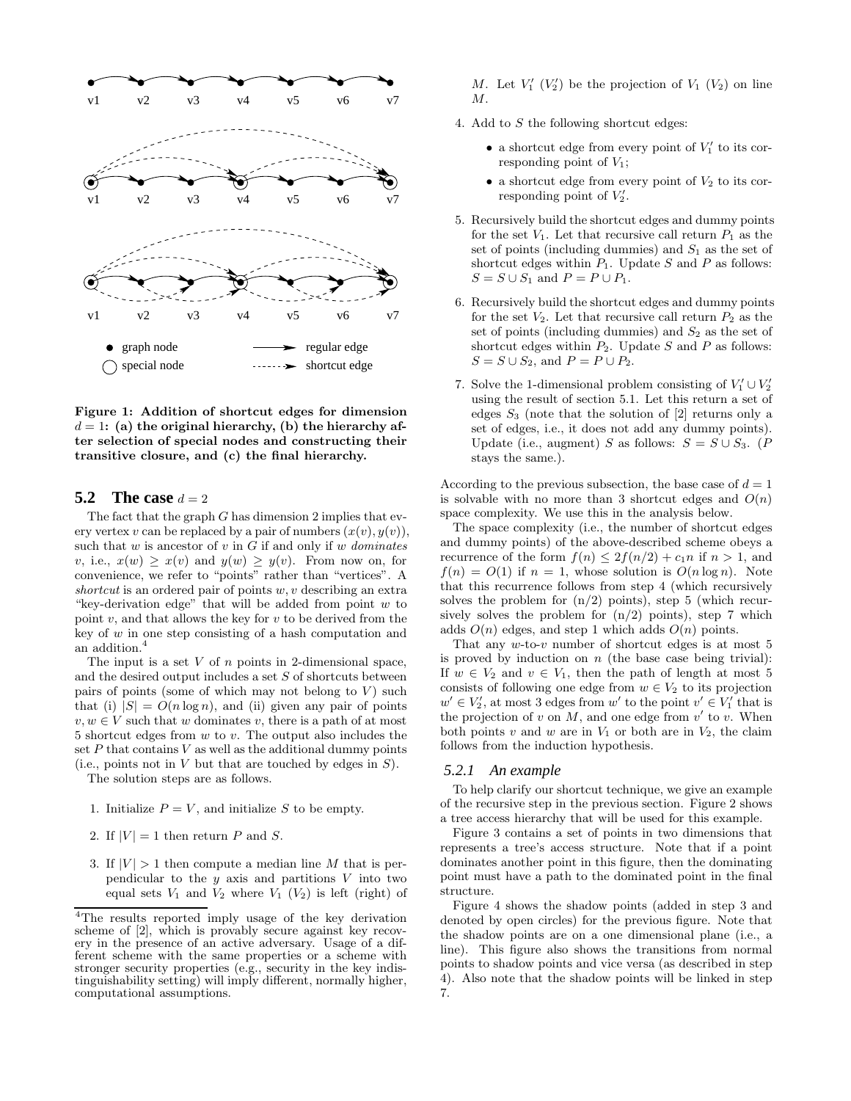

Figure 1: Addition of shortcut edges for dimension  $d = 1$ : (a) the original hierarchy, (b) the hierarchy after selection of special nodes and constructing their transitive closure, and (c) the final hierarchy.

#### **5.2** The case  $d = 2$

The fact that the graph  $G$  has dimension 2 implies that every vertex v can be replaced by a pair of numbers  $(x(v), y(v)),$ such that  $w$  is ancestor of  $v$  in  $G$  if and only if  $w$  dominates v, i.e.,  $x(w) \geq x(v)$  and  $y(w) \geq y(v)$ . From now on, for convenience, we refer to "points" rather than "vertices". A shortcut is an ordered pair of points  $w, v$  describing an extra "key-derivation edge" that will be added from point  $w$  to point  $v$ , and that allows the key for  $v$  to be derived from the key of  $w$  in one step consisting of a hash computation and an addition.<sup>4</sup>

The input is a set  $V$  of  $n$  points in 2-dimensional space, and the desired output includes a set S of shortcuts between pairs of points (some of which may not belong to  $V$ ) such that (i)  $|S| = O(n \log n)$ , and (ii) given any pair of points  $v, w \in V$  such that w dominates v, there is a path of at most 5 shortcut edges from w to v. The output also includes the set  $P$  that contains  $V$  as well as the additional dummy points (i.e., points not in  $V$  but that are touched by edges in  $S$ ).

The solution steps are as follows.

- 1. Initialize  $P = V$ , and initialize S to be empty.
- 2. If  $|V| = 1$  then return P and S.
- 3. If  $|V| > 1$  then compute a median line M that is perpendicular to the  $y$  axis and partitions  $V$  into two equal sets  $V_1$  and  $V_2$  where  $V_1$   $(V_2)$  is left (right) of

M. Let  $V_1'$   $(V_2')$  be the projection of  $V_1$   $(V_2)$  on line M.

- 4. Add to S the following shortcut edges:
	- a shortcut edge from every point of  $V_1'$  to its corresponding point of  $V_1$ ;
	- $\bullet$  a shortcut edge from every point of  $V_2$  to its corresponding point of  $V_2'$ .
- 5. Recursively build the shortcut edges and dummy points for the set  $V_1$ . Let that recursive call return  $P_1$  as the set of points (including dummies) and  $S_1$  as the set of shortcut edges within  $P_1$ . Update S and P as follows:  $S = S \cup S_1$  and  $P = P \cup P_1$ .
- 6. Recursively build the shortcut edges and dummy points for the set  $V_2$ . Let that recursive call return  $P_2$  as the set of points (including dummies) and  $S_2$  as the set of shortcut edges within  $P_2$ . Update S and P as follows:  $S = S \cup S_2$ , and  $P = P \cup P_2$ .
- 7. Solve the 1-dimensional problem consisting of  $V_1' \cup V_2'$ using the result of section 5.1. Let this return a set of edges  $S_3$  (note that the solution of [2] returns only a set of edges, i.e., it does not add any dummy points). Update (i.e., augment) S as follows:  $S = S \cup S_3$ . (P stays the same.).

According to the previous subsection, the base case of  $d = 1$ is solvable with no more than 3 shortcut edges and  $O(n)$ space complexity. We use this in the analysis below.

The space complexity (i.e., the number of shortcut edges and dummy points) of the above-described scheme obeys a recurrence of the form  $f(n) \leq 2f(n/2) + c_1 n$  if  $n > 1$ , and  $f(n) = O(1)$  if  $n = 1$ , whose solution is  $O(n \log n)$ . Note that this recurrence follows from step 4 (which recursively solves the problem for  $(n/2)$  points), step 5 (which recursively solves the problem for  $(n/2)$  points), step 7 which adds  $O(n)$  edges, and step 1 which adds  $O(n)$  points.

That any  $w$ -to- $v$  number of shortcut edges is at most 5 is proved by induction on  $n$  (the base case being trivial): If  $w \in V_2$  and  $v \in V_1$ , then the path of length at most 5 consists of following one edge from  $w \in V_2$  to its projection  $w' \in V'_2$ , at most 3 edges from  $w'$  to the point  $v' \in V'_1$  that is the projection of  $v$  on  $M$ , and one edge from  $v'$  to  $v$ . When both points  $v$  and  $w$  are in  $V_1$  or both are in  $V_2$ , the claim follows from the induction hypothesis.

#### *5.2.1 An example*

To help clarify our shortcut technique, we give an example of the recursive step in the previous section. Figure 2 shows a tree access hierarchy that will be used for this example.

Figure 3 contains a set of points in two dimensions that represents a tree's access structure. Note that if a point dominates another point in this figure, then the dominating point must have a path to the dominated point in the final structure.

Figure 4 shows the shadow points (added in step 3 and denoted by open circles) for the previous figure. Note that the shadow points are on a one dimensional plane (i.e., a line). This figure also shows the transitions from normal points to shadow points and vice versa (as described in step 4). Also note that the shadow points will be linked in step 7.

<sup>4</sup>The results reported imply usage of the key derivation scheme of [2], which is provably secure against key recovery in the presence of an active adversary. Usage of a different scheme with the same properties or a scheme with stronger security properties (e.g., security in the key indistinguishability setting) will imply different, normally higher, computational assumptions.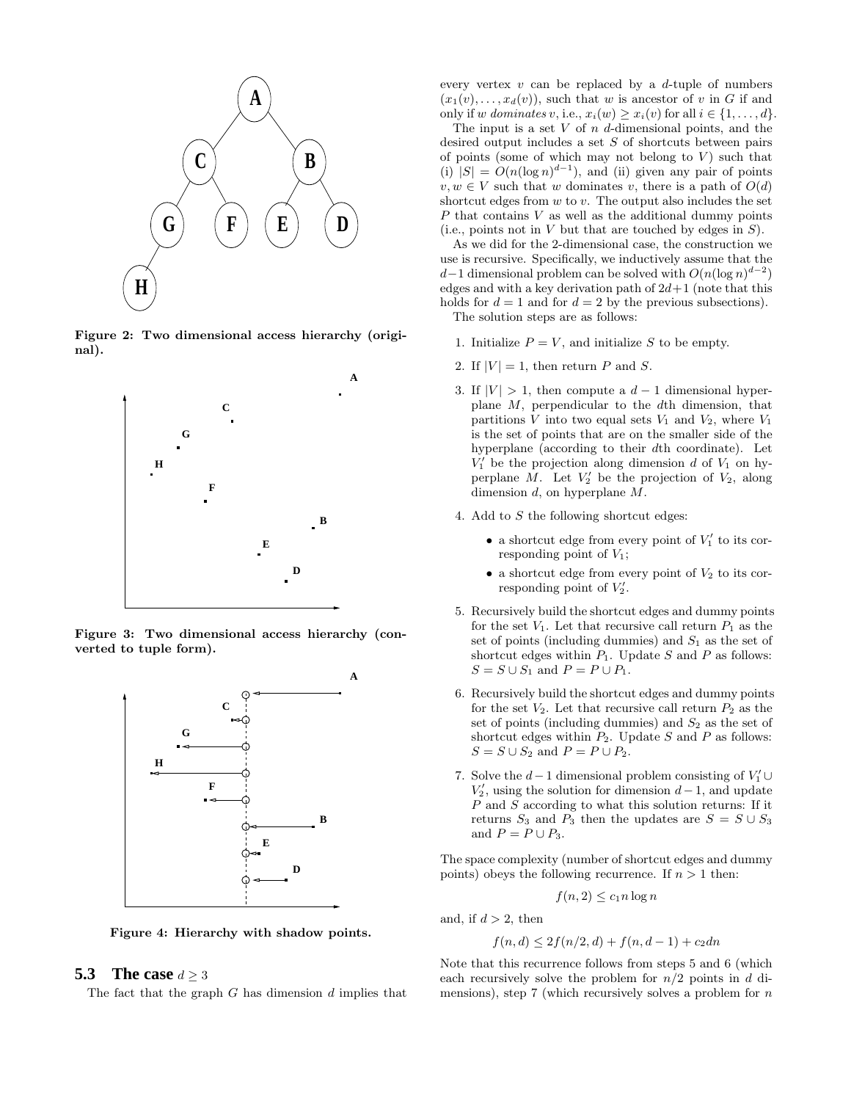

Figure 2: Two dimensional access hierarchy (original).



Figure 3: Two dimensional access hierarchy (converted to tuple form).



Figure 4: Hierarchy with shadow points.

# **5.3** The case  $d > 3$

The fact that the graph  $G$  has dimension  $d$  implies that

every vertex  $v$  can be replaced by a  $d$ -tuple of numbers  $(x_1(v), \ldots, x_d(v))$ , such that w is ancestor of v in G if and only if w dominates v, i.e.,  $x_i(w) \geq x_i(v)$  for all  $i \in \{1, \ldots, d\}$ .

The input is a set  $V$  of  $n$  d-dimensional points, and the desired output includes a set S of shortcuts between pairs of points (some of which may not belong to  $V$ ) such that (i)  $|S| = O(n(\log n)^{d-1})$ , and (ii) given any pair of points  $v, w \in V$  such that w dominates v, there is a path of  $O(d)$ shortcut edges from  $w$  to  $v$ . The output also includes the set P that contains V as well as the additional dummy points (i.e., points not in  $V$  but that are touched by edges in  $S$ ).

As we did for the 2-dimensional case, the construction we use is recursive. Specifically, we inductively assume that the d–1 dimensional problem can be solved with  $O(n(\log n)^{d-2})$ edges and with a key derivation path of  $2d+1$  (note that this holds for  $d = 1$  and for  $d = 2$  by the previous subsections). The solution steps are as follows:

1. Initialize  $P = V$ , and initialize S to be empty.

- 2. If  $|V| = 1$ , then return P and S.
- 3. If  $|V| > 1$ , then compute a  $d-1$  dimensional hyperplane  $M$ , perpendicular to the  $d$ th dimension, that partitions  $V$  into two equal sets  $V_1$  and  $V_2$ , where  $V_1$ is the set of points that are on the smaller side of the hyperplane (according to their dth coordinate). Let  $V_1'$  be the projection along dimension d of  $V_1$  on hyperplane M. Let  $V_2'$  be the projection of  $V_2$ , along dimension d, on hyperplane M.
- 4. Add to S the following shortcut edges:
	- a shortcut edge from every point of  $V_1'$  to its corresponding point of  $V_1$ ;
	- $\bullet$  a shortcut edge from every point of  $V_2$  to its corresponding point of  $V_2'$ .
- 5. Recursively build the shortcut edges and dummy points for the set  $V_1$ . Let that recursive call return  $P_1$  as the set of points (including dummies) and  $S_1$  as the set of shortcut edges within  $P_1$ . Update S and P as follows:  $S = S \cup S_1$  and  $P = P \cup P_1$ .
- 6. Recursively build the shortcut edges and dummy points for the set  $V_2$ . Let that recursive call return  $P_2$  as the set of points (including dummies) and  $S_2$  as the set of shortcut edges within  $P_2$ . Update S and P as follows:  $S = S \cup S_2$  and  $P = P \cup P_2$ .
- 7. Solve the  $d-1$  dimensional problem consisting of  $V_1' \cup$  $V_2'$ , using the solution for dimension  $d-1$ , and update  $P$  and  $S$  according to what this solution returns: If it returns  $S_3$  and  $P_3$  then the updates are  $S = S \cup S_3$ and  $P = P \cup P_3$ .

The space complexity (number of shortcut edges and dummy points) obeys the following recurrence. If  $n > 1$  then:

$$
f(n,2) \le c_1 n \log n
$$

and, if  $d > 2$ , then

$$
f(n,d) \le 2f(n/2,d) + f(n,d-1) + c_2dn
$$

Note that this recurrence follows from steps 5 and 6 (which each recursively solve the problem for  $n/2$  points in d dimensions), step 7 (which recursively solves a problem for  $n$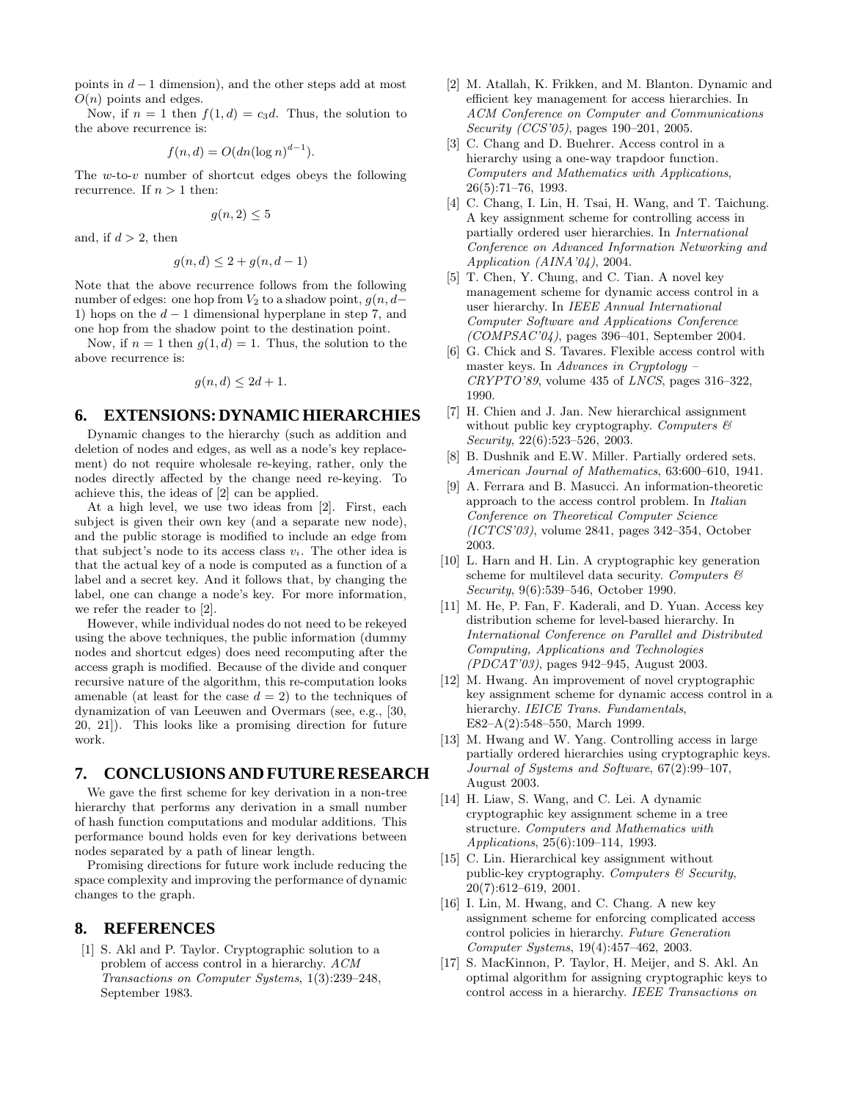points in  $d-1$  dimension), and the other steps add at most  $O(n)$  points and edges.

Now, if  $n = 1$  then  $f(1, d) = c_3 d$ . Thus, the solution to the above recurrence is:

$$
f(n,d) = O(dn(\log n)^{d-1}).
$$

The  $w$ -to- $v$  number of shortcut edges obeys the following recurrence. If  $n > 1$  then:

$$
g(n,2) \le 5
$$

and, if  $d > 2$ , then

$$
g(n,d) \le 2 + g(n,d-1)
$$

Note that the above recurrence follows from the following number of edges: one hop from  $V_2$  to a shadow point,  $g(n, d-$ 1) hops on the  $d-1$  dimensional hyperplane in step 7, and one hop from the shadow point to the destination point.

Now, if  $n = 1$  then  $g(1, d) = 1$ . Thus, the solution to the above recurrence is:

$$
g(n,d) \le 2d+1.
$$

## **6. EXTENSIONS: DYNAMIC HIERARCHIES**

Dynamic changes to the hierarchy (such as addition and deletion of nodes and edges, as well as a node's key replacement) do not require wholesale re-keying, rather, only the nodes directly affected by the change need re-keying. To achieve this, the ideas of [2] can be applied.

At a high level, we use two ideas from [2]. First, each subject is given their own key (and a separate new node), and the public storage is modified to include an edge from that subject's node to its access class  $v_i$ . The other idea is that the actual key of a node is computed as a function of a label and a secret key. And it follows that, by changing the label, one can change a node's key. For more information, we refer the reader to [2].

However, while individual nodes do not need to be rekeyed using the above techniques, the public information (dummy nodes and shortcut edges) does need recomputing after the access graph is modified. Because of the divide and conquer recursive nature of the algorithm, this re-computation looks amenable (at least for the case  $d = 2$ ) to the techniques of dynamization of van Leeuwen and Overmars (see, e.g., [30, 20, 21]). This looks like a promising direction for future work.

## **7. CONCLUSIONS AND FUTURE RESEARCH**

We gave the first scheme for key derivation in a non-tree hierarchy that performs any derivation in a small number of hash function computations and modular additions. This performance bound holds even for key derivations between nodes separated by a path of linear length.

Promising directions for future work include reducing the space complexity and improving the performance of dynamic changes to the graph.

## **8. REFERENCES**

[1] S. Akl and P. Taylor. Cryptographic solution to a problem of access control in a hierarchy. ACM Transactions on Computer Systems, 1(3):239–248, September 1983.

- [2] M. Atallah, K. Frikken, and M. Blanton. Dynamic and efficient key management for access hierarchies. In ACM Conference on Computer and Communications Security (CCS'05), pages 190–201, 2005.
- [3] C. Chang and D. Buehrer. Access control in a hierarchy using a one-way trapdoor function. Computers and Mathematics with Applications, 26(5):71–76, 1993.
- [4] C. Chang, I. Lin, H. Tsai, H. Wang, and T. Taichung. A key assignment scheme for controlling access in partially ordered user hierarchies. In International Conference on Advanced Information Networking and Application (AINA'04), 2004.
- [5] T. Chen, Y. Chung, and C. Tian. A novel key management scheme for dynamic access control in a user hierarchy. In IEEE Annual International Computer Software and Applications Conference  $(COMPSAC'04)$ , pages 396-401, September 2004.
- [6] G. Chick and S. Tavares. Flexible access control with master keys. In Advances in Cryptology –  $CRYPTO'89$ , volume 435 of *LNCS*, pages 316-322, 1990.
- [7] H. Chien and J. Jan. New hierarchical assignment without public key cryptography. Computers  $\mathcal{B}$ Security, 22(6):523–526, 2003.
- [8] B. Dushnik and E.W. Miller. Partially ordered sets. American Journal of Mathematics, 63:600–610, 1941.
- [9] A. Ferrara and B. Masucci. An information-theoretic approach to the access control problem. In Italian Conference on Theoretical Computer Science  $(ICTCS'03)$ , volume 2841, pages 342–354, October 2003.
- [10] L. Harn and H. Lin. A cryptographic key generation scheme for multilevel data security. Computers  $\mathcal{B}$ Security, 9(6):539–546, October 1990.
- [11] M. He, P. Fan, F. Kaderali, and D. Yuan. Access key distribution scheme for level-based hierarchy. In International Conference on Parallel and Distributed Computing, Applications and Technologies (PDCAT'03), pages 942–945, August 2003.
- [12] M. Hwang. An improvement of novel cryptographic key assignment scheme for dynamic access control in a hierarchy. IEICE Trans. Fundamentals, E82–A(2):548–550, March 1999.
- [13] M. Hwang and W. Yang. Controlling access in large partially ordered hierarchies using cryptographic keys. Journal of Systems and Software, 67(2):99–107, August 2003.
- [14] H. Liaw, S. Wang, and C. Lei. A dynamic cryptographic key assignment scheme in a tree structure. Computers and Mathematics with Applications, 25(6):109–114, 1993.
- [15] C. Lin. Hierarchical key assignment without public-key cryptography. Computers & Security, 20(7):612–619, 2001.
- [16] I. Lin, M. Hwang, and C. Chang. A new key assignment scheme for enforcing complicated access control policies in hierarchy. Future Generation Computer Systems, 19(4):457–462, 2003.
- [17] S. MacKinnon, P. Taylor, H. Meijer, and S. Akl. An optimal algorithm for assigning cryptographic keys to control access in a hierarchy. IEEE Transactions on